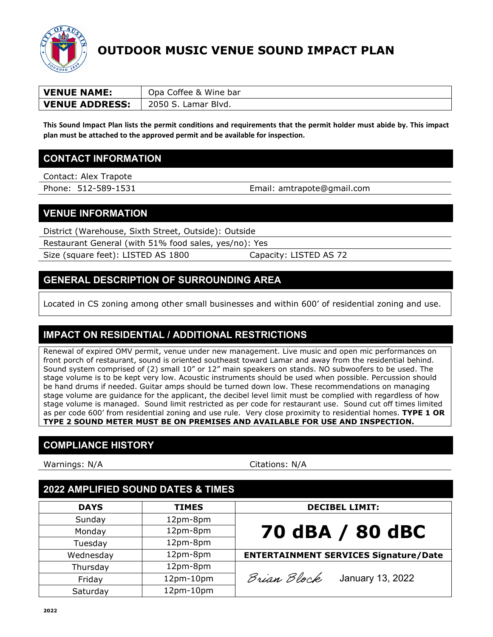

# **OUTDOOR MUSIC VENUE SOUND IMPACT PLAN**

| <b>VENUE NAME:</b>    | Opa Coffee & Wine bar |
|-----------------------|-----------------------|
| <b>VENUE ADDRESS:</b> | 2050 S<br>Lamar Blvd. |

**This Sound Impact Plan lists the permit conditions and requirements that the permit holder must abide by. This impact plan must be attached to the approved permit and be available for inspection.**

#### **CONTACT INFORMATION**

Contact: Alex Trapote

Phone: 512-589-1531 Email: amtrapote@gmail.com

#### **VENUE INFORMATION**

District (Warehouse, Sixth Street, Outside): Outside

Restaurant General (with 51% food sales, yes/no): Yes

Size (square feet): LISTED AS 1800 Capacity: LISTED AS 72

## **GENERAL DESCRIPTION OF SURROUNDING AREA**

Located in CS zoning among other small businesses and within 600' of residential zoning and use.

## **IMPACT ON RESIDENTIAL / ADDITIONAL RESTRICTIONS**

Renewal of expired OMV permit, venue under new management. Live music and open mic performances on front porch of restaurant, sound is oriented southeast toward Lamar and away from the residential behind. Sound system comprised of (2) small 10" or 12" main speakers on stands. NO subwoofers to be used. The stage volume is to be kept very low. Acoustic instruments should be used when possible. Percussion should be hand drums if needed. Guitar amps should be turned down low. These recommendations on managing stage volume are guidance for the applicant, the decibel level limit must be complied with regardless of how stage volume is managed. Sound limit restricted as per code for restaurant use. Sound cut off times limited as per code 600' from residential zoning and use rule. Very close proximity to residential homes. **TYPE 1 OR TYPE 2 SOUND METER MUST BE ON PREMISES AND AVAILABLE FOR USE AND INSPECTION.**

#### **COMPLIANCE HISTORY**

Warnings: N/A Citations: N/A

## **2022 AMPLIFIED SOUND DATES & TIMES**

| <b>DAYS</b> | <b>TIMES</b> | <b>DECIBEL LIMIT:</b>                        |
|-------------|--------------|----------------------------------------------|
| Sunday      | 12pm-8pm     |                                              |
| Monday      | 12pm-8pm     | 70 dBA / 80 dBC                              |
| Tuesday     | 12pm-8pm     |                                              |
| Wednesday   | 12pm-8pm     | <b>ENTERTAINMENT SERVICES Signature/Date</b> |
| Thursday    | 12pm-8pm     |                                              |
| Friday      | 12pm-10pm    | Brian Block<br>January 13, 2022              |
| Saturday    | 12pm-10pm    |                                              |